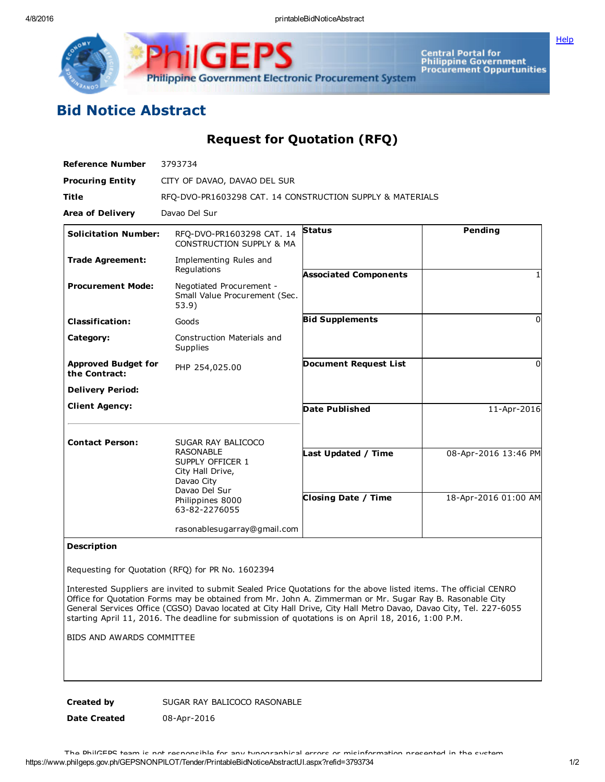**[Help](javascript:void(window.open()** 



Central Portal for<br>Philippine Government<br>Procurement Oppurtunities

## Bid Notice Abstract

Request for Quotation (RFQ)

| <b>Reference Number</b>                     | 3793734                                                                                 |                              |                      |
|---------------------------------------------|-----------------------------------------------------------------------------------------|------------------------------|----------------------|
| <b>Procuring Entity</b>                     | CITY OF DAVAO, DAVAO DEL SUR                                                            |                              |                      |
| <b>Title</b>                                | RFQ-DVO-PR1603298 CAT. 14 CONSTRUCTION SUPPLY & MATERIALS                               |                              |                      |
| <b>Area of Delivery</b>                     | Davao Del Sur                                                                           |                              |                      |
| <b>Solicitation Number:</b>                 | RFO-DVO-PR1603298 CAT. 14<br>CONSTRUCTION SUPPLY & MA                                   | <b>Status</b>                | Pending              |
| <b>Trade Agreement:</b>                     | Implementing Rules and<br>Regulations                                                   | <b>Associated Components</b> |                      |
| <b>Procurement Mode:</b>                    | Negotiated Procurement -<br>Small Value Procurement (Sec.<br>53.9)                      |                              |                      |
| <b>Classification:</b>                      | Goods                                                                                   | <b>Bid Supplements</b>       | $\Omega$             |
| Category:                                   | Construction Materials and<br>Supplies                                                  |                              |                      |
| <b>Approved Budget for</b><br>the Contract: | PHP 254,025.00                                                                          | <b>Document Request List</b> | <sup>0</sup>         |
| <b>Delivery Period:</b>                     |                                                                                         |                              |                      |
| <b>Client Agency:</b>                       |                                                                                         | Date Published               | 11-Apr-2016          |
| <b>Contact Person:</b>                      | SUGAR RAY BALICOCO                                                                      |                              |                      |
|                                             | <b>RASONABLE</b><br>SUPPLY OFFICER 1<br>City Hall Drive,<br>Davao City<br>Davao Del Sur | ast Updated / Time           | 08-Apr-2016 13:46 PM |
|                                             | Philippines 8000<br>63-82-2276055                                                       | <b>Closing Date / Time</b>   | 18-Apr-2016 01:00 AM |
|                                             | rasonablesugarray@gmail.com                                                             |                              |                      |

## Description

Requesting for Quotation (RFQ) for PR No. 1602394

Interested Suppliers are invited to submit Sealed Price Quotations for the above listed items. The official CENRO Office for Quotation Forms may be obtained from Mr. John A. Zimmerman or Mr. Sugar Ray B. Rasonable City General Services Office (CGSO) Davao located at City Hall Drive, City Hall Metro Davao, Davao City, Tel. 227-6055 starting April 11, 2016. The deadline for submission of quotations is on April 18, 2016, 1:00 P.M.

BIDS AND AWARDS COMMITTEE

Created by SUGAR RAY BALICOCO RASONABLE

Date Created 08-Apr-2016

https://www.philgeps.gov.ph/GEPSNONPILOT/Tender/PrintableBidNoticeAbstractUI.aspx?refid=3793734 1/2 The PhilGEPS team is not responsible for any typographical errors or misinformation presented in the system.